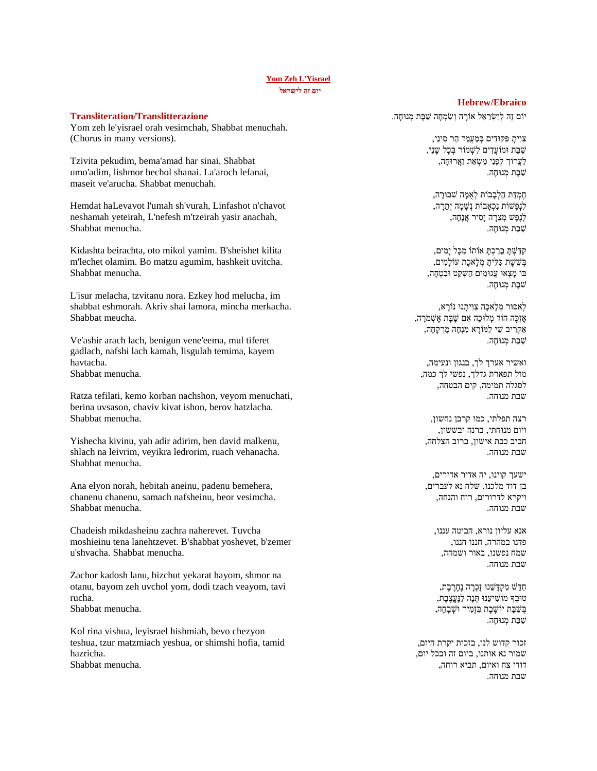### **[Yom Zeh L'Yisrael](https://soundcloud.com/user-114005263/yom-zeh-lyisrael) יום זה לישראל**

#### **Transliteration/Translitterazione**

Yom zeh le'yisrael orah vesimchah, Shabbat menuchah. (Chorus in many versions).

Tzivita pekudim, bema'amad har sinai. Shabbat umo'adim, lishmor bechol shanai. La'aroch lefanai, maseit ve'arucha. Shabbat menuchah.

Hemdat haLevavot l'umah sh'vurah, Linfashot n'chavot neshamah yeteirah, L'nefesh m'tzeirah yasir anachah, Shabbat menucha.

Kidashta beirachta, oto mikol yamim. B'sheishet kilita m'lechet olamim. Bo matzu agumim, hashkeit uvitcha. Shabbat menucha.

L'isur melacha, tzvitanu nora. Ezkey hod melucha, im shabbat eshmorah. Akriv shai lamora, mincha merkacha. Shabbat meucha.

Ve'ashir arach lach, benigun vene'eema, mul tiferet gadlach, nafshi lach kamah, lisgulah temima, kayem havtacha. Shabbat menucha.

Ratza tefilati, kemo korban nachshon, veyom menuchati, berina uvsason, chaviv kivat ishon, berov hatzlacha. Shabbat menucha.

Yishecha kivinu, yah adir adirim, ben david malkenu, shlach na leivrim, veyikra ledrorim, ruach vehanacha. Shabbat menucha.

Ana elyon norah, hebitah aneinu, padenu bemehera, chanenu chanenu, samach nafsheinu, beor vesimcha. Shabbat menucha.

Chadeish mikdasheinu zachra naherevet. Tuvcha moshieinu tena lanehtzevet. B'shabbat yoshevet, b'zemer u'shvacha. Shabbat menucha.

Zachor kadosh lanu, bizchut yekarat hayom, shmor na otanu, bayom zeh uvchol yom, dodi tzach veayom, tavi rucha. Shabbat menucha.

Kol rina vishua, leyisrael hishmiah, bevo chezyon teshua, tzur matzmiach yeshua, or shimshi hofia, tamid hazricha. Shabbat menucha.

### **Hebrew/Ebraico**

יוֹם זֶה לְיִשְׂרַאֵל אוֹרָה וְשִׂמְחָה שַׁבָּת מְנוּחָה.

צְוִיתַ פִּקּוּדִים בְּמַעֲמַד הַר סִינַי, שַ בָ ת ּומֹועֲדִ ים לִשְ מֹור בְ כָל שָ נַי, לַעֲרוֹך לְפָנֵי מַשָׂאֵת וַאֲרוּחָה, שִׁבַּת מִנוּחָה.

חֶמְ דַ ת הַלְבָבֹות לְאֻמָ ה שבּורָ ה, לִנְפַּשׁוֹת נִכְאָבוֹת נִשָּׁמָה יְתֵרָה, לְנֶפֶשׁ מְצֵרָה יָסִיר אֲנָחָה, שַׁבַּת מְנוּחָה.

קִ דַ שְ תָ בֵרַ כְ תָ אֹותֹו מִ כָל יָמִ ים, בְשֵׁשָׁת כִּלִּיתָ מְלֵאכֶת עֹוֹלָמִים, בֹו מָ צְ אּו עֲגּומִ ים הַשְ קֵ ט ּובִ טְ חָה, שׁבָּת מְנוּחָה.

לְאִ ּסּור מְ לָאכָה צִ ּוִ יתָ נּו נֹורָ א, אֶ זְכֶה הֹוד מְ לּוכָה אִ ם שָ בָ ת אֶ שְ מֹרָ ה, אַ קְ רִ יב שַ י לַמֹורָ א מִ נְחָה מֶ רְ קָחָה, שִׁבַּת מִנּוּחָה.

ואשיר אערך לך, בנגון ונעימה, מול תפארת גדלך, נפשי לך כמה, לסגלה תמימה, קים הבטחה, שבת מנוחה.

רצה תפלתי, כמו קרבן נחשון, ויום מנוחתי, ברנה ובששון, חביב כבת אישון, ברוב הצלחה, שבת מנוחה.

ישעך קוינו, יה אדיר אדירים, בן דוד מלכנו, שלח נא לעברים, ויקרא לדרורים, רוח והנחה, שבת מנוחה.

אנא עליון נורא, הביטה עננו, פדנו במהרה, חננו חננו, שמח נפשנו, באור ושמחה, שבת מנוחה.

חַדֵ ש מִ קְ דָ שֵ נּו זָכְ רָ ה נֶחֶרֶ בֶ ת, טּובְ ָך מֹושִ יעֵנּו תְ נָה לַנֶעֱצֶבֶ ת, בְּשַׁבַּת יוֹשֶׁבֶת בְּזָמִיר וּשָׁבָחָה, שַׁבַּת מְנוּחָה.

זכור קדוש לנו, בזכות יקרת היום, שמור נא אותנו, ביום זה ובכל יום, דודי צח ואיום, תביא רוחה, שבת מנוחה.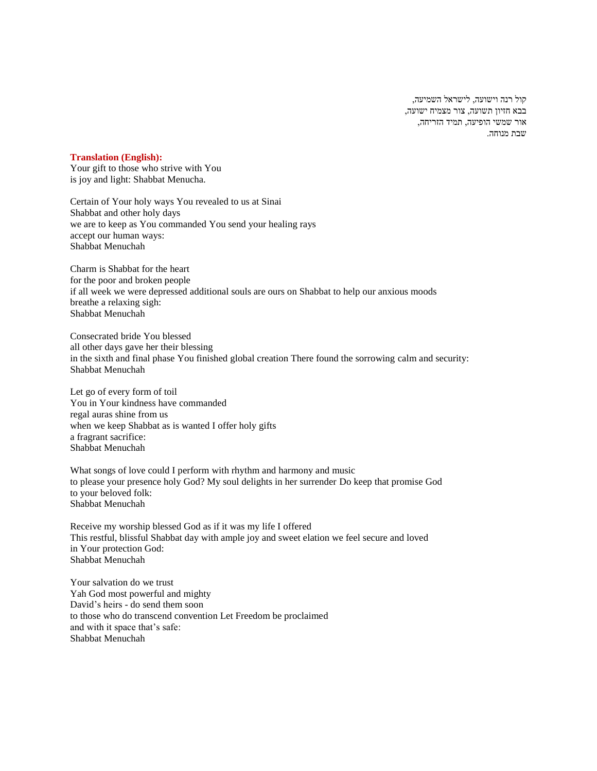קול רנה וישועה, לישראל השמיעה, בבא חזיון תשועה, צור מצמיח ישועה, אור שמשי הופיעה, תמיד הזריחה, שבת מנוחה.

# **Translation (English):**

Your gift to those who strive with You is joy and light: Shabbat Menucha.

Certain of Your holy ways You revealed to us at Sinai Shabbat and other holy days we are to keep as You commanded You send your healing rays accept our human ways: Shabbat Menuchah

Charm is Shabbat for the heart for the poor and broken people if all week we were depressed additional souls are ours on Shabbat to help our anxious moods breathe a relaxing sigh: Shabbat Menuchah

Consecrated bride You blessed all other days gave her their blessing in the sixth and final phase You finished global creation There found the sorrowing calm and security: Shabbat Menuchah

Let go of every form of toil You in Your kindness have commanded regal auras shine from us when we keep Shabbat as is wanted I offer holy gifts a fragrant sacrifice: Shabbat Menuchah

What songs of love could I perform with rhythm and harmony and music to please your presence holy God? My soul delights in her surrender Do keep that promise God to your beloved folk: Shabbat Menuchah

Receive my worship blessed God as if it was my life I offered This restful, blissful Shabbat day with ample joy and sweet elation we feel secure and loved in Your protection God: Shabbat Menuchah

Your salvation do we trust Yah God most powerful and mighty David's heirs - do send them soon to those who do transcend convention Let Freedom be proclaimed and with it space that's safe: Shabbat Menuchah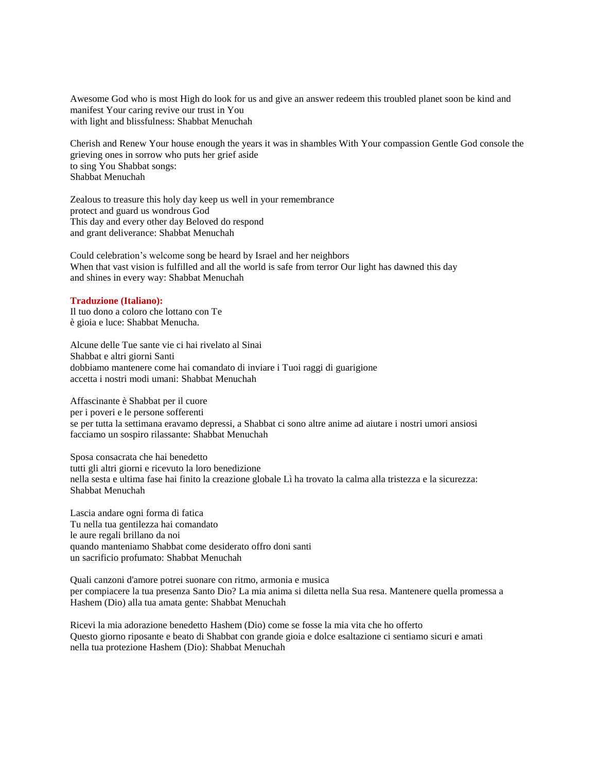Awesome God who is most High do look for us and give an answer redeem this troubled planet soon be kind and manifest Your caring revive our trust in You with light and blissfulness: Shabbat Menuchah

Cherish and Renew Your house enough the years it was in shambles With Your compassion Gentle God console the grieving ones in sorrow who puts her grief aside to sing You Shabbat songs: Shabbat Menuchah

Zealous to treasure this holy day keep us well in your remembrance protect and guard us wondrous God This day and every other day Beloved do respond and grant deliverance: Shabbat Menuchah

Could celebration's welcome song be heard by Israel and her neighbors When that vast vision is fulfilled and all the world is safe from terror Our light has dawned this day and shines in every way: Shabbat Menuchah

# **Traduzione (Italiano):**

Il tuo dono a coloro che lottano con Te è gioia e luce: Shabbat Menucha.

Alcune delle Tue sante vie ci hai rivelato al Sinai Shabbat e altri giorni Santi dobbiamo mantenere come hai comandato di inviare i Tuoi raggi di guarigione accetta i nostri modi umani: Shabbat Menuchah

Affascinante è Shabbat per il cuore per i poveri e le persone sofferenti se per tutta la settimana eravamo depressi, a Shabbat ci sono altre anime ad aiutare i nostri umori ansiosi facciamo un sospiro rilassante: Shabbat Menuchah

Sposa consacrata che hai benedetto tutti gli altri giorni e ricevuto la loro benedizione nella sesta e ultima fase hai finito la creazione globale Lì ha trovato la calma alla tristezza e la sicurezza: Shabbat Menuchah

Lascia andare ogni forma di fatica Tu nella tua gentilezza hai comandato le aure regali brillano da noi quando manteniamo Shabbat come desiderato offro doni santi un sacrificio profumato: Shabbat Menuchah

Quali canzoni d'amore potrei suonare con ritmo, armonia e musica per compiacere la tua presenza Santo Dio? La mia anima si diletta nella Sua resa. Mantenere quella promessa a Hashem (Dio) alla tua amata gente: Shabbat Menuchah

Ricevi la mia adorazione benedetto Hashem (Dio) come se fosse la mia vita che ho offerto Questo giorno riposante e beato di Shabbat con grande gioia e dolce esaltazione ci sentiamo sicuri e amati nella tua protezione Hashem (Dio): Shabbat Menuchah